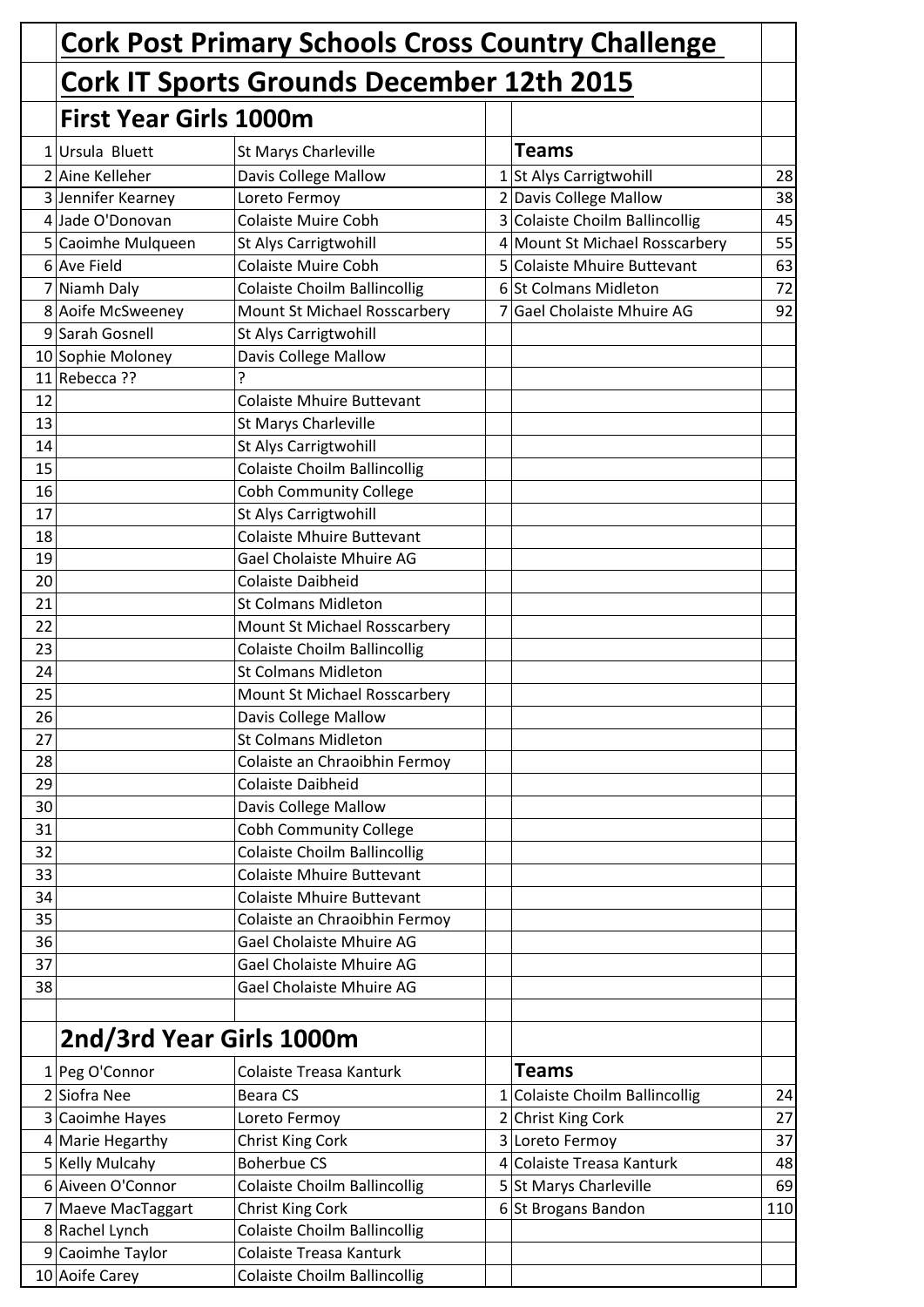|    |                                                  | <b>Cork Post Primary Schools Cross Country Challenge</b> |              |                                |     |
|----|--------------------------------------------------|----------------------------------------------------------|--------------|--------------------------------|-----|
|    | <b>Cork IT Sports Grounds December 12th 2015</b> |                                                          |              |                                |     |
|    | <b>First Year Girls 1000m</b>                    |                                                          |              |                                |     |
|    | $1$ Ursula Bluett                                | St Marys Charleville                                     |              | <b>Teams</b>                   |     |
|    | 2 Aine Kelleher                                  | Davis College Mallow                                     |              | 1 St Alys Carrigtwohill        | 28  |
|    | 3 Jennifer Kearney                               | Loreto Fermoy                                            |              | 2 Davis College Mallow         | 38  |
|    | 4 Jade O'Donovan                                 | <b>Colaiste Muire Cobh</b>                               |              | 3 Colaiste Choilm Ballincollig | 45  |
|    | 5 Caoimhe Mulqueen                               | <b>St Alys Carrigtwohill</b>                             |              | 4 Mount St Michael Rosscarbery | 55  |
|    | 6 Ave Field                                      | <b>Colaiste Muire Cobh</b>                               | 5            | Colaiste Mhuire Buttevant      | 63  |
|    | 7 Niamh Daly                                     | <b>Colaiste Choilm Ballincollig</b>                      |              | 6 St Colmans Midleton          | 72  |
|    | 8 Aoife McSweeney                                | Mount St Michael Rosscarbery                             | 7            | Gael Cholaiste Mhuire AG       | 92  |
|    | 9 Sarah Gosnell                                  | <b>St Alys Carrigtwohill</b>                             |              |                                |     |
|    | 10 Sophie Moloney                                | Davis College Mallow                                     |              |                                |     |
|    | $11$ Rebecca ??                                  | ?                                                        |              |                                |     |
| 12 |                                                  | <b>Colaiste Mhuire Buttevant</b>                         |              |                                |     |
| 13 |                                                  | St Marys Charleville                                     |              |                                |     |
| 14 |                                                  | St Alys Carrigtwohill                                    |              |                                |     |
| 15 |                                                  | <b>Colaiste Choilm Ballincollig</b>                      |              |                                |     |
| 16 |                                                  | <b>Cobh Community College</b>                            |              |                                |     |
| 17 |                                                  | St Alys Carrigtwohill                                    |              |                                |     |
| 18 |                                                  | <b>Colaiste Mhuire Buttevant</b>                         |              |                                |     |
| 19 |                                                  | Gael Cholaiste Mhuire AG                                 |              |                                |     |
| 20 |                                                  | <b>Colaiste Daibheid</b>                                 |              |                                |     |
| 21 |                                                  | <b>St Colmans Midleton</b>                               |              |                                |     |
| 22 |                                                  | Mount St Michael Rosscarbery                             |              |                                |     |
| 23 |                                                  | <b>Colaiste Choilm Ballincollig</b>                      |              |                                |     |
| 24 |                                                  | <b>St Colmans Midleton</b>                               |              |                                |     |
| 25 |                                                  | Mount St Michael Rosscarbery                             |              |                                |     |
| 26 |                                                  | Davis College Mallow                                     |              |                                |     |
| 27 |                                                  | <b>St Colmans Midleton</b>                               |              |                                |     |
| 28 |                                                  | Colaiste an Chraoibhin Fermoy                            |              |                                |     |
| 29 |                                                  | <b>Colaiste Daibheid</b>                                 |              |                                |     |
| 30 |                                                  | <b>Davis College Mallow</b>                              |              |                                |     |
| 31 |                                                  | <b>Cobh Community College</b>                            |              |                                |     |
| 32 |                                                  | <b>Colaiste Choilm Ballincollig</b>                      |              |                                |     |
| 33 |                                                  | <b>Colaiste Mhuire Buttevant</b>                         |              |                                |     |
| 34 |                                                  | <b>Colaiste Mhuire Buttevant</b>                         |              |                                |     |
| 35 |                                                  | Colaiste an Chraoibhin Fermoy                            |              |                                |     |
| 36 |                                                  | Gael Cholaiste Mhuire AG                                 |              |                                |     |
| 37 |                                                  | Gael Cholaiste Mhuire AG                                 |              |                                |     |
| 38 |                                                  | Gael Cholaiste Mhuire AG                                 |              |                                |     |
|    | 2nd/3rd Year Girls 1000m                         |                                                          |              |                                |     |
|    | 1 Peg O'Connor                                   | Colaiste Treasa Kanturk                                  |              | <b>Teams</b>                   |     |
|    | 2 Siofra Nee                                     | <b>Beara CS</b>                                          | $\mathbf{1}$ | Colaiste Choilm Ballincollig   | 24  |
|    | 3 Caoimhe Hayes                                  | Loreto Fermoy                                            |              | 2 Christ King Cork             | 27  |
|    | 4 Marie Hegarthy                                 | Christ King Cork                                         |              | 3 Loreto Fermoy                | 37  |
|    | 5 Kelly Mulcahy                                  | <b>Boherbue CS</b>                                       |              | 4 Colaiste Treasa Kanturk      | 48  |
|    | 6 Aiveen O'Connor                                | Colaiste Choilm Ballincollig                             |              | 5 St Marys Charleville         | 69  |
|    | 7 Maeve MacTaggart                               | <b>Christ King Cork</b>                                  |              | 6 St Brogans Bandon            | 110 |
|    | 8 Rachel Lynch                                   | <b>Colaiste Choilm Ballincollig</b>                      |              |                                |     |
|    | 9 Caoimhe Taylor                                 | Colaiste Treasa Kanturk                                  |              |                                |     |
|    | 10 Aoife Carey                                   | <b>Colaiste Choilm Ballincollig</b>                      |              |                                |     |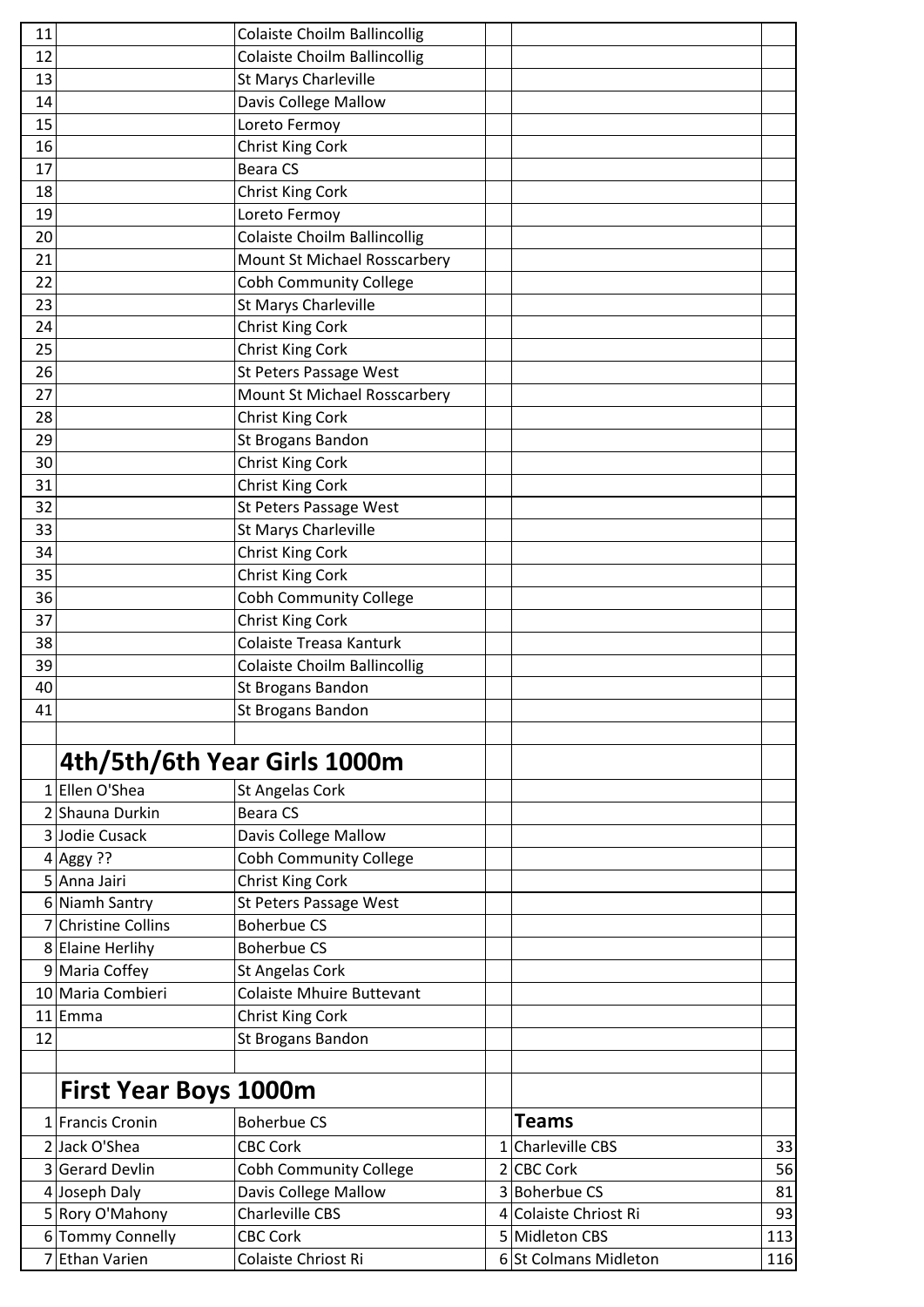| 11 |                              | <b>Colaiste Choilm Ballincollig</b> |                       |     |
|----|------------------------------|-------------------------------------|-----------------------|-----|
| 12 |                              | <b>Colaiste Choilm Ballincollig</b> |                       |     |
| 13 |                              | <b>St Marys Charleville</b>         |                       |     |
| 14 |                              | Davis College Mallow                |                       |     |
| 15 |                              | Loreto Fermoy                       |                       |     |
| 16 |                              | <b>Christ King Cork</b>             |                       |     |
| 17 |                              | <b>Beara CS</b>                     |                       |     |
| 18 |                              | <b>Christ King Cork</b>             |                       |     |
| 19 |                              | Loreto Fermoy                       |                       |     |
| 20 |                              | <b>Colaiste Choilm Ballincollig</b> |                       |     |
| 21 |                              | Mount St Michael Rosscarbery        |                       |     |
| 22 |                              | <b>Cobh Community College</b>       |                       |     |
| 23 |                              | St Marys Charleville                |                       |     |
| 24 |                              | Christ King Cork                    |                       |     |
| 25 |                              | Christ King Cork                    |                       |     |
| 26 |                              | St Peters Passage West              |                       |     |
| 27 |                              | Mount St Michael Rosscarbery        |                       |     |
| 28 |                              | <b>Christ King Cork</b>             |                       |     |
| 29 |                              | St Brogans Bandon                   |                       |     |
| 30 |                              | Christ King Cork                    |                       |     |
| 31 |                              | Christ King Cork                    |                       |     |
| 32 |                              | St Peters Passage West              |                       |     |
| 33 |                              | St Marys Charleville                |                       |     |
| 34 |                              | Christ King Cork                    |                       |     |
| 35 |                              | Christ King Cork                    |                       |     |
| 36 |                              | <b>Cobh Community College</b>       |                       |     |
| 37 |                              | Christ King Cork                    |                       |     |
| 38 |                              | Colaiste Treasa Kanturk             |                       |     |
| 39 |                              | <b>Colaiste Choilm Ballincollig</b> |                       |     |
| 40 |                              | <b>St Brogans Bandon</b>            |                       |     |
| 41 |                              | St Brogans Bandon                   |                       |     |
|    |                              |                                     |                       |     |
|    |                              |                                     |                       |     |
|    | 4th/5th/6th Year Girls 1000m |                                     |                       |     |
|    | 1 Ellen O'Shea               | <b>St Angelas Cork</b>              |                       |     |
|    | 2 Shauna Durkin              | <b>Beara CS</b>                     |                       |     |
|    | 3 Jodie Cusack               | <b>Davis College Mallow</b>         |                       |     |
|    | 4 Aggy ??                    | <b>Cobh Community College</b>       |                       |     |
|    | 5 Anna Jairi                 | Christ King Cork                    |                       |     |
|    | 6 Niamh Santry               | St Peters Passage West              |                       |     |
|    | 7 Christine Collins          | <b>Boherbue CS</b>                  |                       |     |
|    | 8 Elaine Herlihy             | <b>Boherbue CS</b>                  |                       |     |
|    | 9 Maria Coffey               | <b>St Angelas Cork</b>              |                       |     |
|    | 10 Maria Combieri            | <b>Colaiste Mhuire Buttevant</b>    |                       |     |
|    | $11$  Emma                   | Christ King Cork                    |                       |     |
| 12 |                              | St Brogans Bandon                   |                       |     |
|    |                              |                                     |                       |     |
|    | <b>First Year Boys 1000m</b> |                                     |                       |     |
|    | 1 Francis Cronin             | <b>Boherbue CS</b>                  | <b>Teams</b>          |     |
|    | 2 Jack O'Shea                | <b>CBC Cork</b>                     | 1 Charleville CBS     | 33  |
|    | 3 Gerard Devlin              | <b>Cobh Community College</b>       | 2 CBC Cork            | 56  |
|    | 4 Joseph Daly                | <b>Davis College Mallow</b>         | 3 Boherbue CS         | 81  |
|    | 5 Rory O'Mahony              | <b>Charleville CBS</b>              | 4 Colaiste Chriost Ri | 93  |
|    | 6 Tommy Connelly             | <b>CBC Cork</b>                     | 5 Midleton CBS        | 113 |
|    | Ethan Varien                 | Colaiste Chriost Ri                 | 6 St Colmans Midleton | 116 |
|    |                              |                                     |                       |     |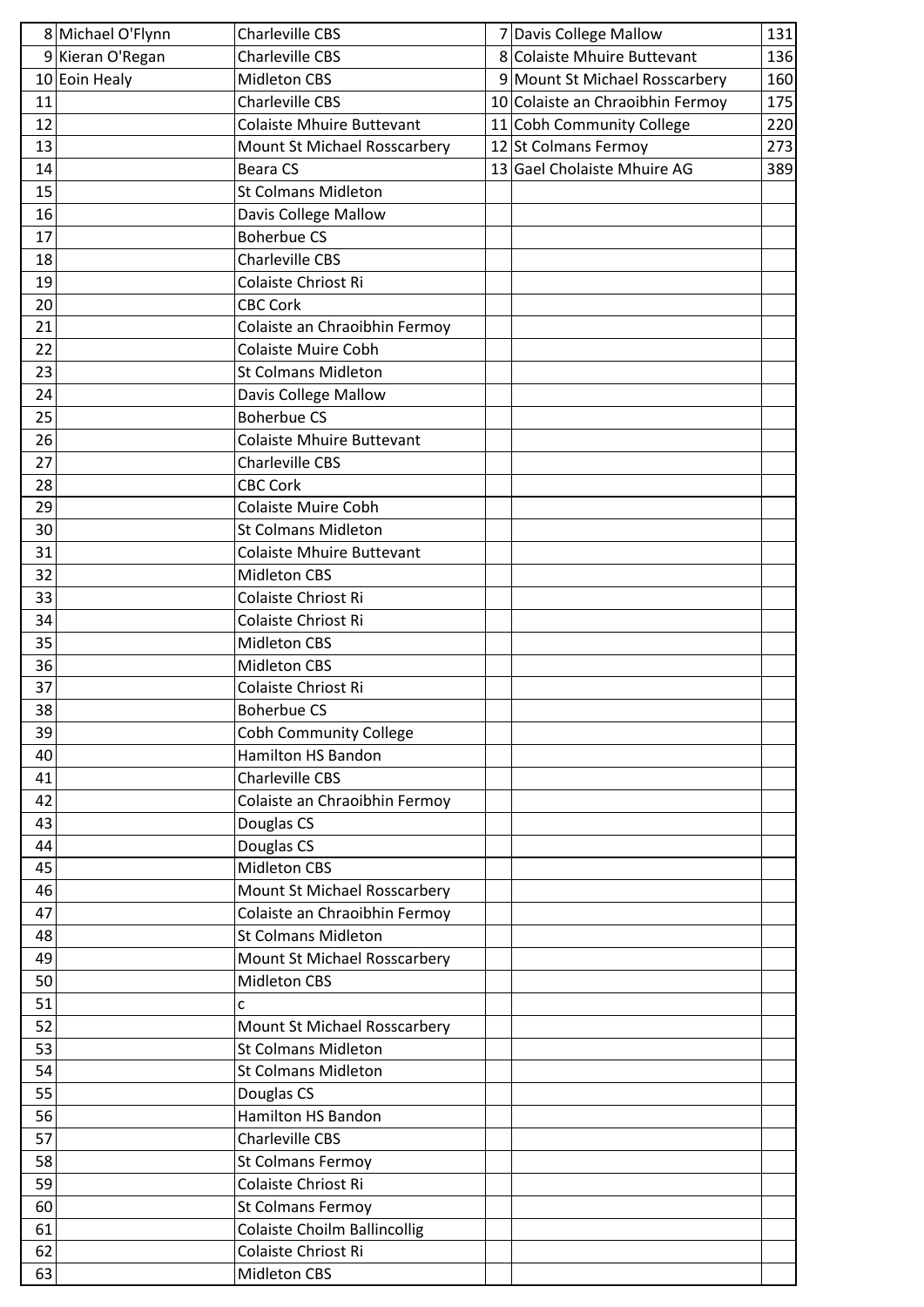| 8 Michael O'Flynn | <b>Charleville CBS</b>              | 7 Davis College Mallow           | 131 |
|-------------------|-------------------------------------|----------------------------------|-----|
| 9 Kieran O'Regan  | <b>Charleville CBS</b>              | 8 Colaiste Mhuire Buttevant      | 136 |
| 10 Eoin Healy     | Midleton CBS                        | 9 Mount St Michael Rosscarbery   | 160 |
| 11                | <b>Charleville CBS</b>              | 10 Colaiste an Chraoibhin Fermoy | 175 |
| 12                | <b>Colaiste Mhuire Buttevant</b>    | 11 Cobh Community College        | 220 |
| 13                | Mount St Michael Rosscarbery        | 12 St Colmans Fermoy             | 273 |
| 14                | <b>Beara CS</b>                     | 13 Gael Cholaiste Mhuire AG      | 389 |
| 15                | <b>St Colmans Midleton</b>          |                                  |     |
| 16                | <b>Davis College Mallow</b>         |                                  |     |
| 17                | <b>Boherbue CS</b>                  |                                  |     |
| 18                | <b>Charleville CBS</b>              |                                  |     |
| 19                | Colaiste Chriost Ri                 |                                  |     |
| 20                | <b>CBC Cork</b>                     |                                  |     |
| 21                | Colaiste an Chraoibhin Fermoy       |                                  |     |
| 22                | <b>Colaiste Muire Cobh</b>          |                                  |     |
| 23                | <b>St Colmans Midleton</b>          |                                  |     |
| 24                | <b>Davis College Mallow</b>         |                                  |     |
| 25                | <b>Boherbue CS</b>                  |                                  |     |
| 26                | <b>Colaiste Mhuire Buttevant</b>    |                                  |     |
| 27                | <b>Charleville CBS</b>              |                                  |     |
| 28                | <b>CBC Cork</b>                     |                                  |     |
| 29                | <b>Colaiste Muire Cobh</b>          |                                  |     |
| 30                | <b>St Colmans Midleton</b>          |                                  |     |
| 31                | <b>Colaiste Mhuire Buttevant</b>    |                                  |     |
| 32                | <b>Midleton CBS</b>                 |                                  |     |
| 33                | Colaiste Chriost Ri                 |                                  |     |
| 34                | Colaiste Chriost Ri                 |                                  |     |
| 35                | Midleton CBS                        |                                  |     |
| 36                | <b>Midleton CBS</b>                 |                                  |     |
| 37                | Colaiste Chriost Ri                 |                                  |     |
| 38                | <b>Boherbue CS</b>                  |                                  |     |
| 39                | <b>Cobh Community College</b>       |                                  |     |
| 40                | <b>Hamilton HS Bandon</b>           |                                  |     |
| 41                | <b>Charleville CBS</b>              |                                  |     |
| 42                | Colaiste an Chraoibhin Fermoy       |                                  |     |
| 43                | Douglas CS                          |                                  |     |
| 44                | Douglas CS                          |                                  |     |
| 45                | <b>Midleton CBS</b>                 |                                  |     |
| 46                | Mount St Michael Rosscarbery        |                                  |     |
| 47                | Colaiste an Chraoibhin Fermoy       |                                  |     |
| 48                | <b>St Colmans Midleton</b>          |                                  |     |
| 49                | Mount St Michael Rosscarbery        |                                  |     |
| 50                | <b>Midleton CBS</b>                 |                                  |     |
| 51                | C                                   |                                  |     |
| 52                | Mount St Michael Rosscarbery        |                                  |     |
| 53                | <b>St Colmans Midleton</b>          |                                  |     |
| 54                | <b>St Colmans Midleton</b>          |                                  |     |
| 55                | Douglas CS                          |                                  |     |
| 56                | <b>Hamilton HS Bandon</b>           |                                  |     |
| 57                | <b>Charleville CBS</b>              |                                  |     |
| 58                | <b>St Colmans Fermoy</b>            |                                  |     |
| 59                | Colaiste Chriost Ri                 |                                  |     |
| 60                | St Colmans Fermoy                   |                                  |     |
| 61                | <b>Colaiste Choilm Ballincollig</b> |                                  |     |
| 62                | Colaiste Chriost Ri                 |                                  |     |
| 63                | Midleton CBS                        |                                  |     |
|                   |                                     |                                  |     |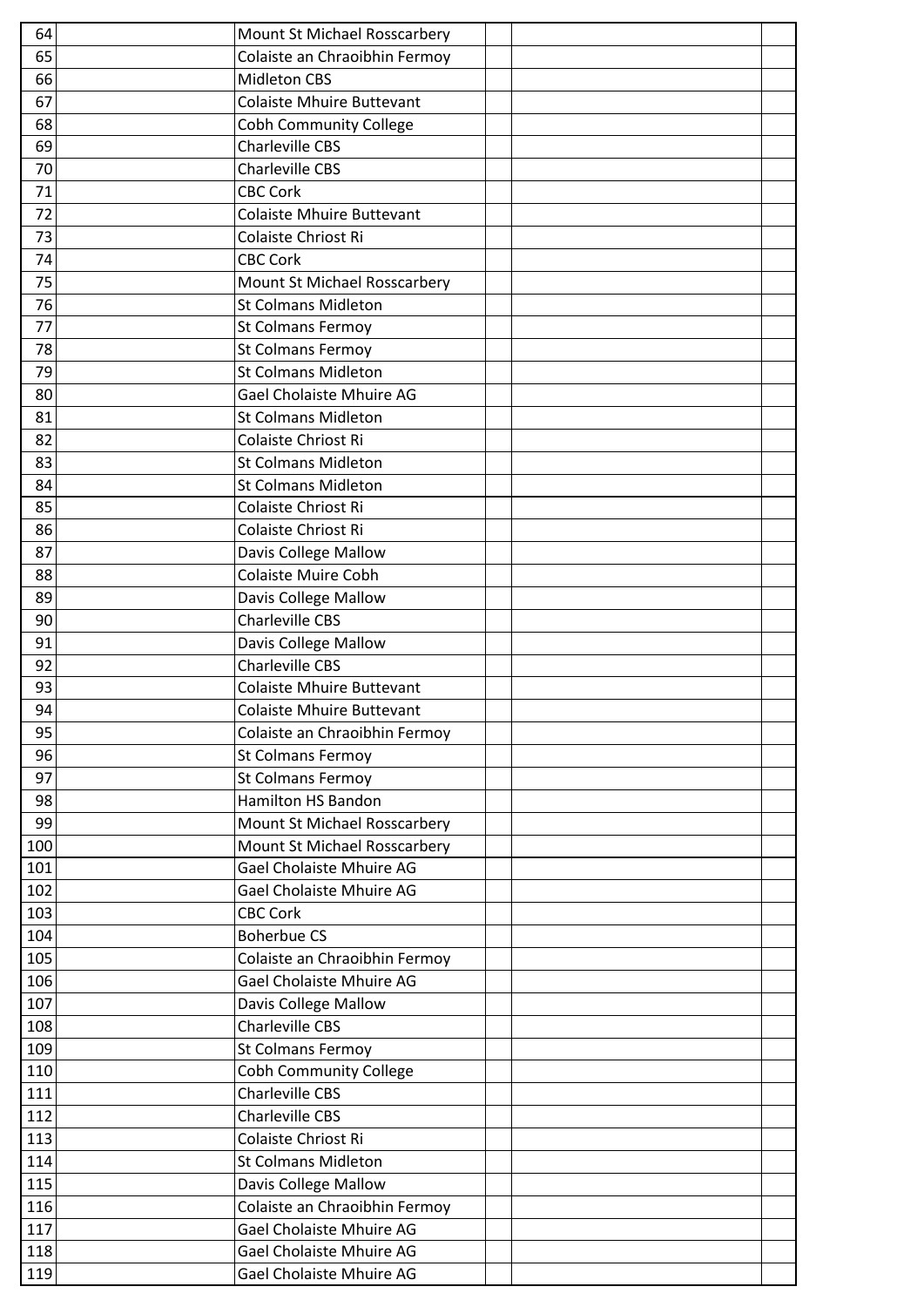| 64  | Mount St Michael Rosscarbery                          |  |
|-----|-------------------------------------------------------|--|
| 65  | Colaiste an Chraoibhin Fermoy                         |  |
| 66  | <b>Midleton CBS</b>                                   |  |
| 67  | <b>Colaiste Mhuire Buttevant</b>                      |  |
| 68  | <b>Cobh Community College</b>                         |  |
| 69  | <b>Charleville CBS</b>                                |  |
| 70  | <b>Charleville CBS</b>                                |  |
| 71  | <b>CBC Cork</b>                                       |  |
| 72  | <b>Colaiste Mhuire Buttevant</b>                      |  |
| 73  | Colaiste Chriost Ri                                   |  |
| 74  | <b>CBC Cork</b>                                       |  |
| 75  | Mount St Michael Rosscarbery                          |  |
| 76  | <b>St Colmans Midleton</b>                            |  |
| 77  | <b>St Colmans Fermoy</b>                              |  |
| 78  | <b>St Colmans Fermoy</b>                              |  |
| 79  | <b>St Colmans Midleton</b>                            |  |
| 80  | Gael Cholaiste Mhuire AG                              |  |
| 81  | <b>St Colmans Midleton</b>                            |  |
| 82  | Colaiste Chriost Ri                                   |  |
| 83  | <b>St Colmans Midleton</b>                            |  |
| 84  | <b>St Colmans Midleton</b>                            |  |
| 85  | Colaiste Chriost Ri                                   |  |
| 86  | Colaiste Chriost Ri                                   |  |
| 87  | Davis College Mallow                                  |  |
| 88  | <b>Colaiste Muire Cobh</b>                            |  |
| 89  | Davis College Mallow                                  |  |
| 90  | <b>Charleville CBS</b>                                |  |
| 91  | Davis College Mallow                                  |  |
| 92  | <b>Charleville CBS</b>                                |  |
| 93  | Colaiste Mhuire Buttevant                             |  |
| 94  | Colaiste Mhuire Buttevant                             |  |
| 95  | Colaiste an Chraoibhin Fermoy                         |  |
| 96  | <b>St Colmans Fermoy</b>                              |  |
| 97  | <b>St Colmans Fermoy</b>                              |  |
| 98  | <b>Hamilton HS Bandon</b>                             |  |
| 99  | Mount St Michael Rosscarbery                          |  |
| 100 | Mount St Michael Rosscarbery                          |  |
| 101 | Gael Cholaiste Mhuire AG                              |  |
| 102 | Gael Cholaiste Mhuire AG                              |  |
| 103 | <b>CBC Cork</b>                                       |  |
| 104 | <b>Boherbue CS</b>                                    |  |
| 105 | Colaiste an Chraoibhin Fermoy                         |  |
| 106 | Gael Cholaiste Mhuire AG                              |  |
| 107 | <b>Davis College Mallow</b>                           |  |
| 108 | <b>Charleville CBS</b>                                |  |
| 109 | <b>St Colmans Fermoy</b>                              |  |
| 110 | <b>Cobh Community College</b>                         |  |
| 111 | <b>Charleville CBS</b>                                |  |
| 112 | <b>Charleville CBS</b>                                |  |
| 113 | Colaiste Chriost Ri                                   |  |
| 114 | <b>St Colmans Midleton</b>                            |  |
| 115 |                                                       |  |
| 116 | Davis College Mallow<br>Colaiste an Chraoibhin Fermoy |  |
| 117 | Gael Cholaiste Mhuire AG                              |  |
|     |                                                       |  |
| 118 | Gael Cholaiste Mhuire AG                              |  |
| 119 | Gael Cholaiste Mhuire AG                              |  |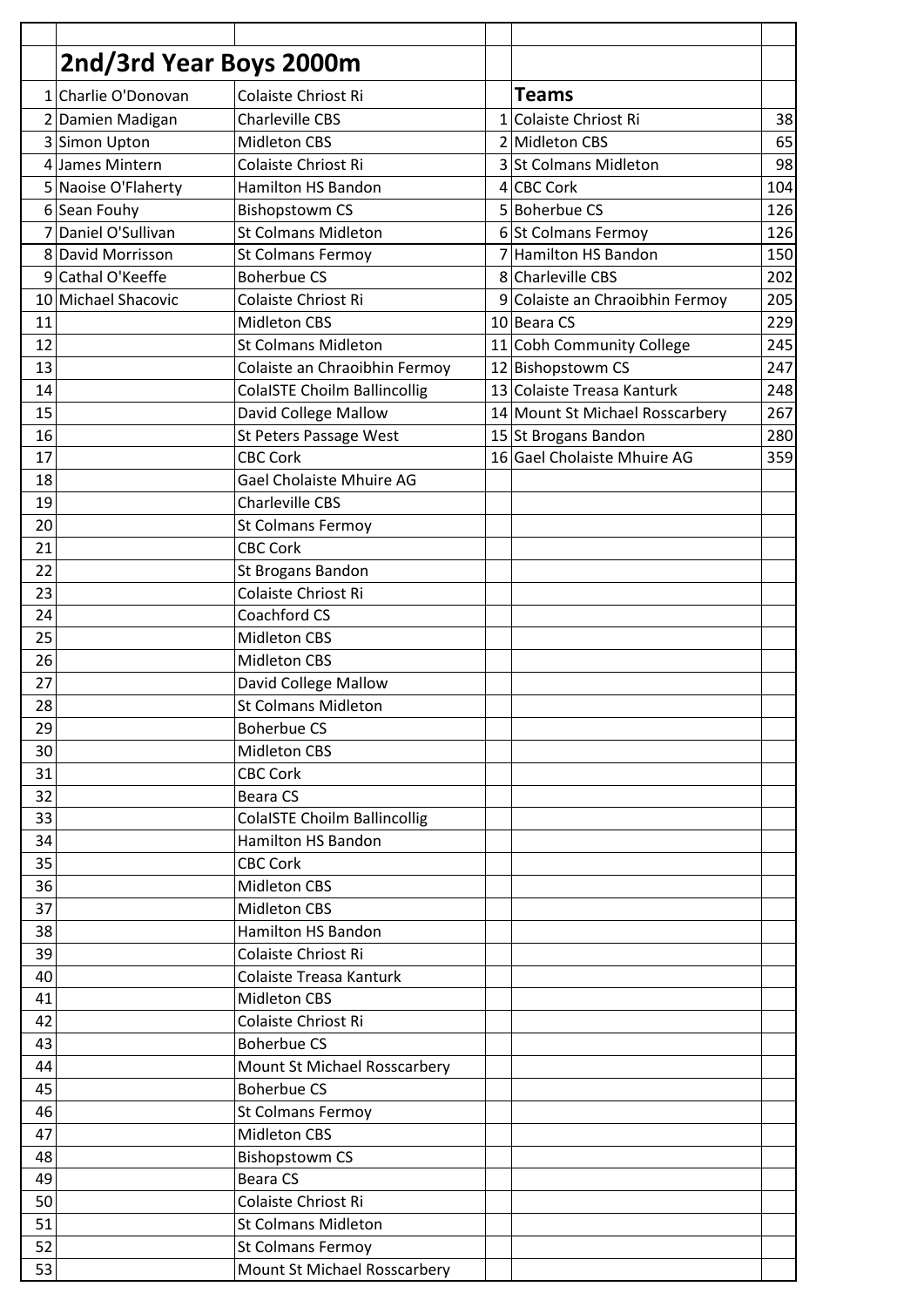|                | 2nd/3rd Year Boys 2000m |                                          |              |                                 |     |
|----------------|-------------------------|------------------------------------------|--------------|---------------------------------|-----|
| 1              | Charlie O'Donovan       | Colaiste Chriost Ri                      |              | <b>Teams</b>                    |     |
|                | 2 Damien Madigan        | <b>Charleville CBS</b>                   | $\mathbf{1}$ | Colaiste Chriost Ri             | 38  |
|                | 3 Simon Upton           | <b>Midleton CBS</b>                      |              | 2 Midleton CBS                  | 65  |
|                | 4 James Mintern         | Colaiste Chriost Ri                      |              | 3 St Colmans Midleton           | 98  |
|                | 5 Naoise O'Flaherty     | <b>Hamilton HS Bandon</b>                |              | 4 CBC Cork                      | 104 |
|                | 6 Sean Fouhy            | <b>Bishopstowm CS</b>                    |              | 5 Boherbue CS                   | 126 |
| 7              | Daniel O'Sullivan       | <b>St Colmans Midleton</b>               |              | 6 St Colmans Fermoy             | 126 |
|                | 8 David Morrisson       | <b>St Colmans Fermoy</b>                 | 7            | Hamilton HS Bandon              | 150 |
| $\overline{9}$ | Cathal O'Keeffe         | <b>Boherbue CS</b>                       |              | 8 Charleville CBS               | 202 |
| 10             | Michael Shacovic        | Colaiste Chriost Ri                      | 9            | Colaiste an Chraoibhin Fermoy   | 205 |
| 11             |                         | <b>Midleton CBS</b>                      |              | 10 Beara CS                     | 229 |
| 12             |                         | <b>St Colmans Midleton</b>               |              | 11 Cobh Community College       | 245 |
| 13             |                         | Colaiste an Chraoibhin Fermoy            |              | 12 Bishopstowm CS               | 247 |
| 14             |                         | <b>ColaISTE Choilm Ballincollig</b>      |              | 13 Colaiste Treasa Kanturk      | 248 |
| 15             |                         | David College Mallow                     |              | 14 Mount St Michael Rosscarbery | 267 |
| 16             |                         | St Peters Passage West                   |              | 15 St Brogans Bandon            | 280 |
| 17             |                         | <b>CBC Cork</b>                          |              | 16 Gael Cholaiste Mhuire AG     | 359 |
| 18             |                         | Gael Cholaiste Mhuire AG                 |              |                                 |     |
| 19             |                         | <b>Charleville CBS</b>                   |              |                                 |     |
| 20             |                         | <b>St Colmans Fermoy</b>                 |              |                                 |     |
| 21             |                         | <b>CBC Cork</b>                          |              |                                 |     |
|                |                         |                                          |              |                                 |     |
| 22<br>23       |                         | St Brogans Bandon<br>Colaiste Chriost Ri |              |                                 |     |
|                |                         | Coachford CS                             |              |                                 |     |
| 24             |                         |                                          |              |                                 |     |
| 25             |                         | <b>Midleton CBS</b>                      |              |                                 |     |
| 26             |                         | <b>Midleton CBS</b>                      |              |                                 |     |
| 27             |                         | David College Mallow                     |              |                                 |     |
| 28             |                         | <b>St Colmans Midleton</b>               |              |                                 |     |
| 29             |                         | <b>Boherbue CS</b>                       |              |                                 |     |
| 30             |                         | <b>Midleton CBS</b>                      |              |                                 |     |
| 31             |                         | <b>CBC Cork</b>                          |              |                                 |     |
| 32             |                         | <b>Beara CS</b>                          |              |                                 |     |
| 33             |                         | <b>ColaISTE Choilm Ballincollig</b>      |              |                                 |     |
| 34             |                         | <b>Hamilton HS Bandon</b>                |              |                                 |     |
| 35             |                         | <b>CBC Cork</b>                          |              |                                 |     |
| 36             |                         | <b>Midleton CBS</b>                      |              |                                 |     |
| 37             |                         | <b>Midleton CBS</b>                      |              |                                 |     |
| 38             |                         | <b>Hamilton HS Bandon</b>                |              |                                 |     |
| 39             |                         | Colaiste Chriost Ri                      |              |                                 |     |
| 40             |                         | Colaiste Treasa Kanturk                  |              |                                 |     |
| 41             |                         | <b>Midleton CBS</b>                      |              |                                 |     |
| 42             |                         | Colaiste Chriost Ri                      |              |                                 |     |
| 43             |                         | <b>Boherbue CS</b>                       |              |                                 |     |
| 44             |                         | Mount St Michael Rosscarbery             |              |                                 |     |
| 45             |                         | <b>Boherbue CS</b>                       |              |                                 |     |
| 46             |                         | St Colmans Fermoy                        |              |                                 |     |
| 47             |                         | <b>Midleton CBS</b>                      |              |                                 |     |
| 48             |                         | <b>Bishopstowm CS</b>                    |              |                                 |     |
| 49             |                         | <b>Beara CS</b>                          |              |                                 |     |
| 50             |                         | Colaiste Chriost Ri                      |              |                                 |     |
| 51             |                         | <b>St Colmans Midleton</b>               |              |                                 |     |
| 52             |                         | <b>St Colmans Fermoy</b>                 |              |                                 |     |
| 53             |                         | Mount St Michael Rosscarbery             |              |                                 |     |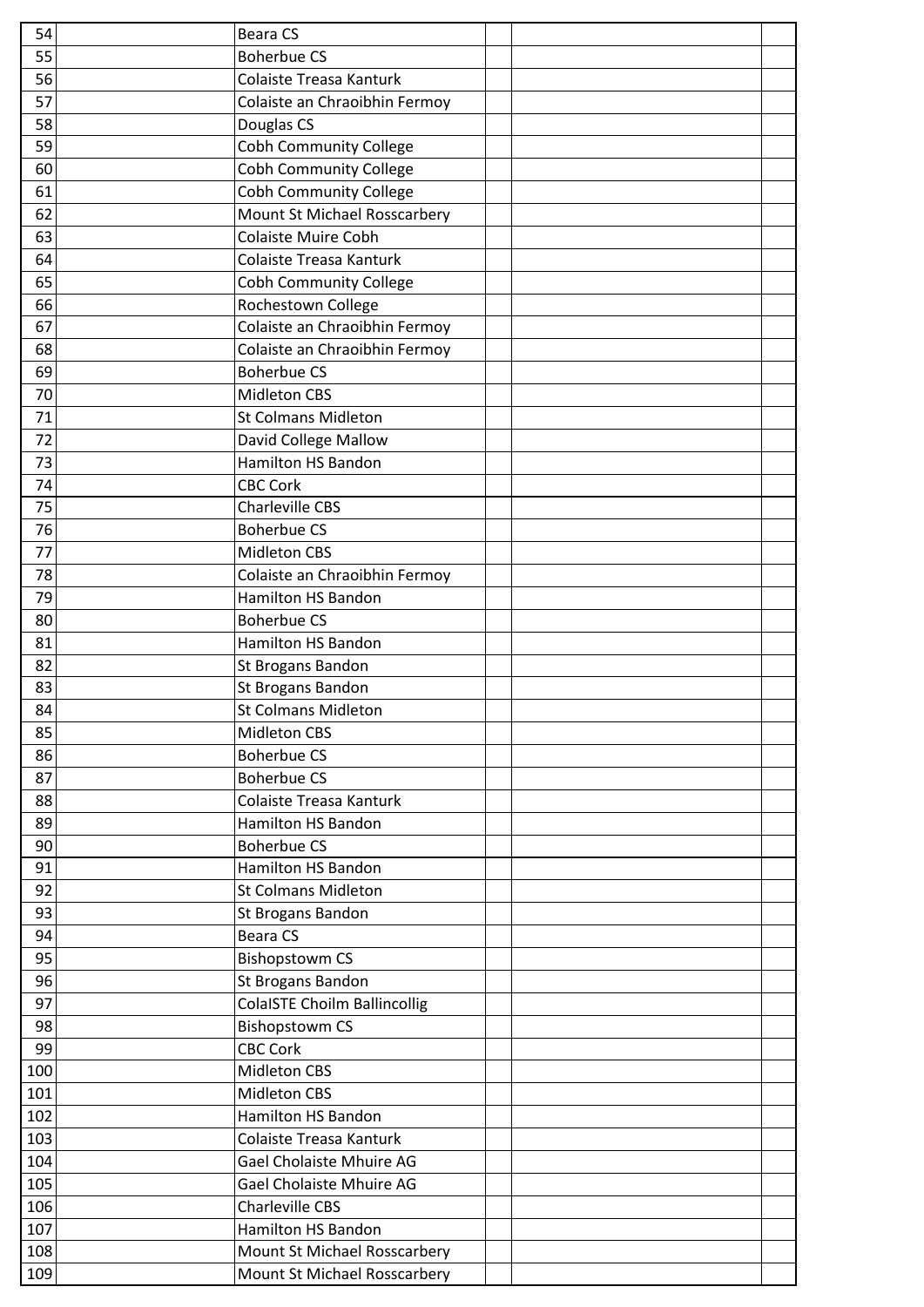|            | <b>Beara CS</b>                                              |  |
|------------|--------------------------------------------------------------|--|
| 55         | <b>Boherbue CS</b>                                           |  |
| 56         | Colaiste Treasa Kanturk                                      |  |
| 57         | Colaiste an Chraoibhin Fermoy                                |  |
| 58         | Douglas CS                                                   |  |
| 59         | <b>Cobh Community College</b>                                |  |
| 60         | <b>Cobh Community College</b>                                |  |
| 61         | <b>Cobh Community College</b>                                |  |
| 62         | Mount St Michael Rosscarbery                                 |  |
| 63         | <b>Colaiste Muire Cobh</b>                                   |  |
| 64         | Colaiste Treasa Kanturk                                      |  |
| 65         | <b>Cobh Community College</b>                                |  |
| 66         | Rochestown College                                           |  |
| 67         | Colaiste an Chraoibhin Fermoy                                |  |
| 68         | Colaiste an Chraoibhin Fermoy                                |  |
| 69         | <b>Boherbue CS</b>                                           |  |
| 70         | Midleton CBS                                                 |  |
| 71         | <b>St Colmans Midleton</b>                                   |  |
| 72         | David College Mallow                                         |  |
| 73         | <b>Hamilton HS Bandon</b>                                    |  |
| 74         | <b>CBC Cork</b>                                              |  |
| 75         | <b>Charleville CBS</b>                                       |  |
| 76         | <b>Boherbue CS</b>                                           |  |
| 77         | <b>Midleton CBS</b>                                          |  |
| 78         | Colaiste an Chraoibhin Fermoy                                |  |
| 79         | <b>Hamilton HS Bandon</b>                                    |  |
| 80         | <b>Boherbue CS</b>                                           |  |
| 81         | <b>Hamilton HS Bandon</b>                                    |  |
| 82         | St Brogans Bandon                                            |  |
| 83         | St Brogans Bandon                                            |  |
| 84         | St Colmans Midleton                                          |  |
|            |                                                              |  |
|            | <b>Midleton CBS</b>                                          |  |
| 85         |                                                              |  |
| 86<br>87   | <b>Boherbue CS</b><br><b>Boherbue CS</b>                     |  |
|            |                                                              |  |
| 88         | Colaiste Treasa Kanturk                                      |  |
| 89         | <b>Hamilton HS Bandon</b><br><b>Boherbue CS</b>              |  |
| 90         | <b>Hamilton HS Bandon</b>                                    |  |
| 91         |                                                              |  |
| 92         | <b>St Colmans Midleton</b>                                   |  |
| 93         | St Brogans Bandon                                            |  |
| 94         | Beara CS                                                     |  |
| 95         | <b>Bishopstowm CS</b>                                        |  |
| 96         | St Brogans Bandon                                            |  |
| 97         | <b>ColaISTE Choilm Ballincollig</b>                          |  |
| 98         | <b>Bishopstowm CS</b>                                        |  |
| 99         | <b>CBC Cork</b>                                              |  |
| 100        | Midleton CBS<br><b>Midleton CBS</b>                          |  |
| 101        | <b>Hamilton HS Bandon</b>                                    |  |
| 102        | Colaiste Treasa Kanturk                                      |  |
| 103        |                                                              |  |
| 104        | Gael Cholaiste Mhuire AG                                     |  |
| 105        | Gael Cholaiste Mhuire AG                                     |  |
| 106        | <b>Charleville CBS</b>                                       |  |
| 107        | Hamilton HS Bandon                                           |  |
| 108<br>109 | Mount St Michael Rosscarbery<br>Mount St Michael Rosscarbery |  |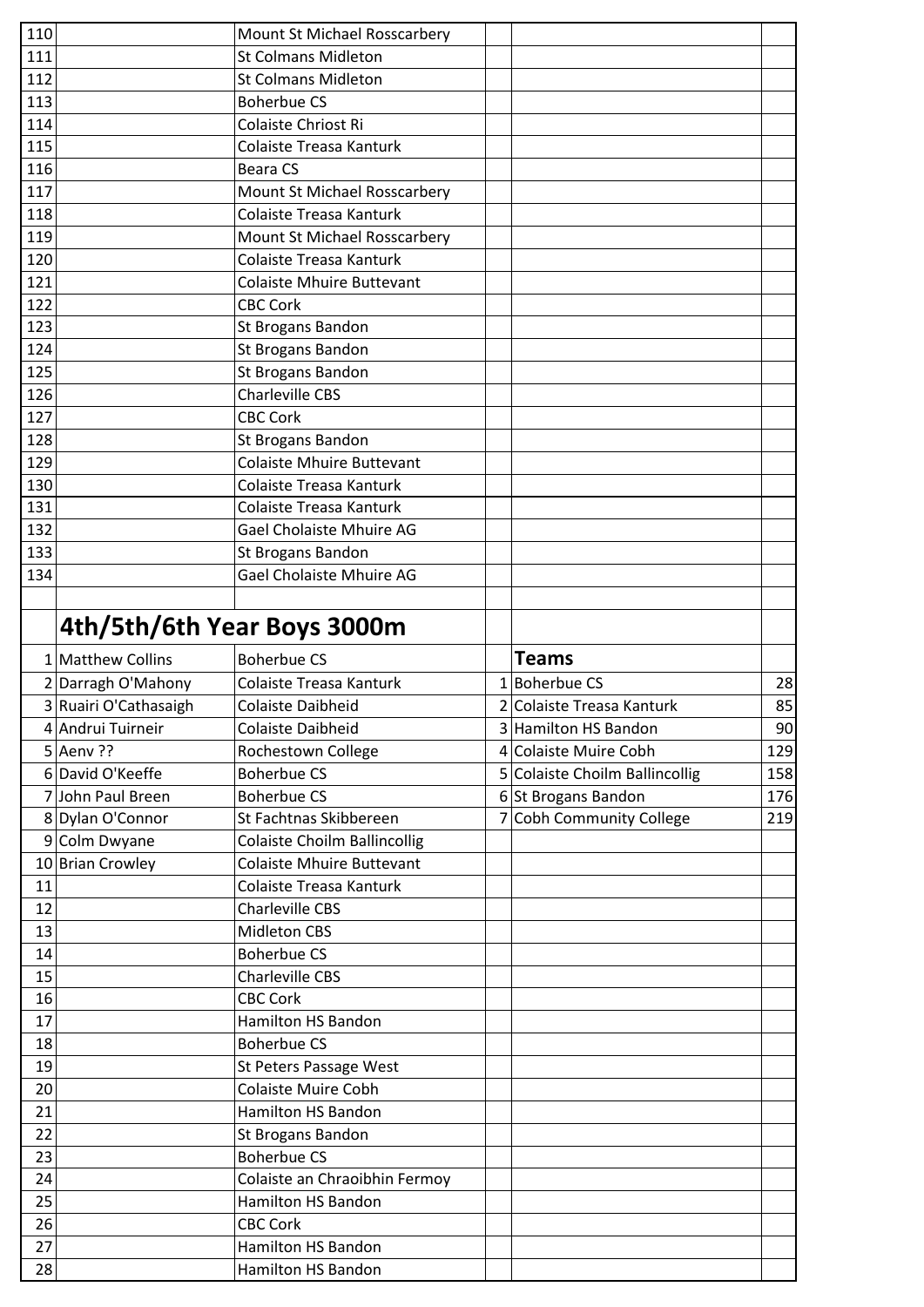| 110 |                             | Mount St Michael Rosscarbery        |                                |     |
|-----|-----------------------------|-------------------------------------|--------------------------------|-----|
| 111 |                             | <b>St Colmans Midleton</b>          |                                |     |
| 112 |                             | <b>St Colmans Midleton</b>          |                                |     |
| 113 |                             | <b>Boherbue CS</b>                  |                                |     |
| 114 |                             | Colaiste Chriost Ri                 |                                |     |
| 115 |                             | Colaiste Treasa Kanturk             |                                |     |
| 116 |                             | <b>Beara CS</b>                     |                                |     |
| 117 |                             | Mount St Michael Rosscarbery        |                                |     |
| 118 |                             | Colaiste Treasa Kanturk             |                                |     |
| 119 |                             | Mount St Michael Rosscarbery        |                                |     |
| 120 |                             | Colaiste Treasa Kanturk             |                                |     |
| 121 |                             | <b>Colaiste Mhuire Buttevant</b>    |                                |     |
| 122 |                             | <b>CBC Cork</b>                     |                                |     |
| 123 |                             | St Brogans Bandon                   |                                |     |
| 124 |                             | <b>St Brogans Bandon</b>            |                                |     |
| 125 |                             | St Brogans Bandon                   |                                |     |
| 126 |                             | <b>Charleville CBS</b>              |                                |     |
| 127 |                             | <b>CBC Cork</b>                     |                                |     |
| 128 |                             | St Brogans Bandon                   |                                |     |
| 129 |                             | <b>Colaiste Mhuire Buttevant</b>    |                                |     |
| 130 |                             | Colaiste Treasa Kanturk             |                                |     |
| 131 |                             | Colaiste Treasa Kanturk             |                                |     |
| 132 |                             | Gael Cholaiste Mhuire AG            |                                |     |
| 133 |                             | St Brogans Bandon                   |                                |     |
| 134 |                             | Gael Cholaiste Mhuire AG            |                                |     |
|     |                             |                                     |                                |     |
|     |                             |                                     |                                |     |
|     | 4th/5th/6th Year Boys 3000m |                                     |                                |     |
|     |                             |                                     |                                |     |
|     | 1 Matthew Collins           | <b>Boherbue CS</b>                  | <b>Teams</b>                   |     |
|     | 2 Darragh O'Mahony          | Colaiste Treasa Kanturk             | $1$ Boherbue CS                | 28  |
|     | 3 Ruairi O'Cathasaigh       | <b>Colaiste Daibheid</b>            | 2 Colaiste Treasa Kanturk      | 85  |
|     | 4 Andrui Tuirneir           | Colaiste Daibheid                   | 3 Hamilton HS Bandon           | 90  |
|     | $5$ Aenv ??                 | Rochestown College                  | 4 Colaiste Muire Cobh          | 129 |
|     | 6 David O'Keeffe            | <b>Boherbue CS</b>                  | 5 Colaiste Choilm Ballincollig | 158 |
|     | 7 John Paul Breen           | <b>Boherbue CS</b>                  | 6 St Brogans Bandon            | 176 |
|     | 8 Dylan O'Connor            | St Fachtnas Skibbereen              | 7 Cobh Community College       | 219 |
|     | 9 Colm Dwyane               | <b>Colaiste Choilm Ballincollig</b> |                                |     |
|     | 10 Brian Crowley            | <b>Colaiste Mhuire Buttevant</b>    |                                |     |
| 11  |                             | Colaiste Treasa Kanturk             |                                |     |
| 12  |                             | <b>Charleville CBS</b>              |                                |     |
| 13  |                             | <b>Midleton CBS</b>                 |                                |     |
| 14  |                             | <b>Boherbue CS</b>                  |                                |     |
| 15  |                             | <b>Charleville CBS</b>              |                                |     |
| 16  |                             | <b>CBC Cork</b>                     |                                |     |
| 17  |                             | <b>Hamilton HS Bandon</b>           |                                |     |
| 18  |                             | <b>Boherbue CS</b>                  |                                |     |
| 19  |                             | St Peters Passage West              |                                |     |
| 20  |                             | <b>Colaiste Muire Cobh</b>          |                                |     |
| 21  |                             | Hamilton HS Bandon                  |                                |     |
| 22  |                             | St Brogans Bandon                   |                                |     |
| 23  |                             | <b>Boherbue CS</b>                  |                                |     |
| 24  |                             | Colaiste an Chraoibhin Fermoy       |                                |     |
| 25  |                             | <b>Hamilton HS Bandon</b>           |                                |     |
| 26  |                             | <b>CBC Cork</b>                     |                                |     |
| 27  |                             | <b>Hamilton HS Bandon</b>           |                                |     |